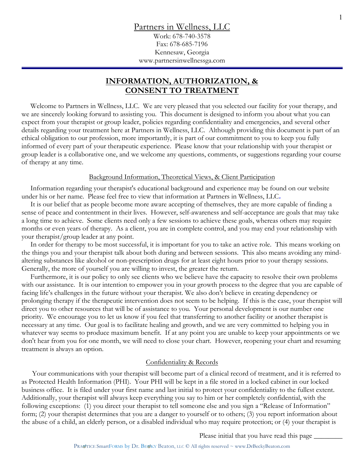Work: 678-740-3578 Fax: 678-685-7196 Kennesaw, Georgia www.partnersinwellnessga.com

# **INFORMATION, AUTHORIZATION, & CONSENT TO TREATMENT**

 Welcome to Partners in Wellness, LLC. We are very pleased that you selected our facility for your therapy, and we are sincerely looking forward to assisting you. This document is designed to inform you about what you can expect from your therapist or group leader, policies regarding confidentiality and emergencies, and several other details regarding your treatment here at Partners in Wellness, LLC. Although providing this document is part of an ethical obligation to our profession, more importantly, it is part of our commitment to you to keep you fully informed of every part of your therapeutic experience. Please know that your relationship with your therapist or group leader is a collaborative one, and we welcome any questions, comments, or suggestions regarding your course of therapy at any time.

## Background Information, Theoretical Views, & Client Participation

 Information regarding your therapist's educational background and experience may be found on our website under his or her name. Please feel free to view that information at Partners in Wellness, LLC**.** 

 It is our belief that as people become more aware accepting of themselves, they are more capable of finding a sense of peace and contentment in their lives. However, self-awareness and self-acceptance are goals that may take a long time to achieve. Some clients need only a few sessions to achieve these goals, whereas others may require months or even years of therapy. As a client, you are in complete control, and you may end your relationship with your therapist/group leader at any point.

 In order for therapy to be most successful, it is important for you to take an active role. This means working on the things you and your therapist talk about both during and between sessions. This also means avoiding any mindaltering substances like alcohol or non-prescription drugs for at least eight hours prior to your therapy sessions. Generally, the more of yourself you are willing to invest, the greater the return.

 Furthermore, it is our policy to only see clients who we believe have the capacity to resolve their own problems with our assistance. It is our intention to empower you in your growth process to the degree that you are capable of facing life's challenges in the future without your therapist. We also don't believe in creating dependency or prolonging therapy if the therapeutic intervention does not seem to be helping. If this is the case, your therapist will direct you to other resources that will be of assistance to you. Your personal development is our number one priority. We encourage you to let us know if you feel that transferring to another facility or another therapist is necessary at any time. Our goal is to facilitate healing and growth, and we are very committed to helping you in whatever way seems to produce maximum benefit. If at any point you are unable to keep your appointments or we don't hear from you for one month, we will need to close your chart. However, reopening your chart and resuming treatment is always an option.

# Confidentiality & Records

 Your communications with your therapist will become part of a clinical record of treatment, and it is referred to as Protected Health Information (PHI). Your PHI will be kept in a file stored in a locked cabinet in our locked business office. It is filed under your first name and last initial to protect your confidentiality to the fullest extent. Additionally, your therapist will always keep everything you say to him or her completely confidential, with the following exceptions: (1) you direct your therapist to tell someone else and you sign a "Release of Information" form; (2) your therapist determines that you are a danger to yourself or to others; (3) you report information about the abuse of a child, an elderly person, or a disabled individual who may require protection; or (4) your therapist is

Please initial that you have read this page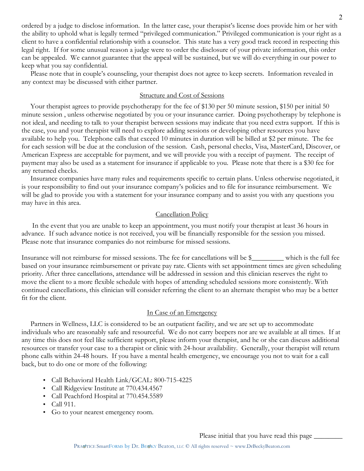ordered by a judge to disclose information. In the latter case, your therapist's license does provide him or her with the ability to uphold what is legally termed "privileged communication." Privileged communication is your right as a client to have a confidential relationship with a counselor. This state has a very good track record in respecting this legal right. If for some unusual reason a judge were to order the disclosure of your private information, this order can be appealed. We cannot guarantee that the appeal will be sustained, but we will do everything in our power to keep what you say confidential.

 Please note that in couple's counseling, your therapist does not agree to keep secrets. Information revealed in any context may be discussed with either partner.

# Structure and Cost of Sessions

Your therapist agrees to provide psychotherapy for the fee of \$130 per 50 minute session, \$150 per initial 50 minute session , unless otherwise negotiated by you or your insurance carrier. Doing psychotherapy by telephone is not ideal, and needing to talk to your therapist between sessions may indicate that you need extra support. If this is the case, you and your therapist will need to explore adding sessions or developing other resources you have available to help you. Telephone calls that exceed 10 minutes in duration will be billed at \$2 per minute. The fee for each session will be due at the conclusion of the session. Cash, personal checks, Visa, MasterCard, Discover, or American Express are acceptable for payment, and we will provide you with a receipt of payment. The receipt of payment may also be used as a statement for insurance if applicable to you. Please note that there is a \$30 fee for any returned checks.

 Insurance companies have many rules and requirements specific to certain plans. Unless otherwise negotiated, it is your responsibility to find out your insurance company's policies and to file for insurance reimbursement. We will be glad to provide you with a statement for your insurance company and to assist you with any questions you may have in this area.

# Cancellation Policy

 In the event that you are unable to keep an appointment, you must notify your therapist at least 36 hours in advance. If such advance notice is not received, you will be financially responsible for the session you missed. Please note that insurance companies do not reimburse for missed sessions.

Insurance will not reimburse for missed sessions. The fee for cancellations will be \$\_\_\_\_\_\_\_\_\_ which is the full fee based on your insurance reimbursement or private pay rate. Clients with set appointment times are given scheduling priority. After three cancellations, attendance will be addressed in session and this clinician reserves the right to move the client to a more flexible schedule with hopes of attending scheduled sessions more consistently. With continued cancellations, this clinician will consider referring the client to an alternate therapist who may be a better fit for the client.

## In Case of an Emergency

 Partners in Wellness, LLC is considered to be an outpatient facility, and we are set up to accommodate individuals who are reasonably safe and resourceful. We do not carry beepers nor are we available at all times. If at any time this does not feel like sufficient support, please inform your therapist, and he or she can discuss additional resources or transfer your case to a therapist or clinic with 24-hour availability. Generally, your therapist will return phone calls within 24-48 hours. If you have a mental health emergency, we encourage you not to wait for a call back, but to do one or more of the following:

- Call Behavioral Health Link/GCAL: 800-715-4225
- Call Ridgeview Institute at 770.434.4567
- Call Peachford Hospital at 770.454.5589
- Call 911.
- Go to your nearest emergency room.

Please initial that you have read this page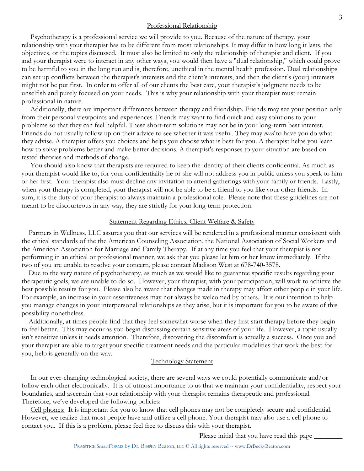#### Professional Relationship

 Psychotherapy is a professional service we will provide to you. Because of the nature of therapy, your relationship with your therapist has to be different from most relationships. It may differ in how long it lasts, the objectives, or the topics discussed. It must also be limited to only the relationship of therapist and client. If you and your therapist were to interact in any other ways, you would then have a "dual relationship," which could prove to be harmful to you in the long run and is, therefore, unethical in the mental health profession. Dual relationships can set up conflicts between the therapist's interests and the client's interests, and then the client's (your) interests might not be put first. In order to offer all of our clients the best care, your therapist's judgment needs to be unselfish and purely focused on your needs. This is why your relationship with your therapist must remain professional in nature.

 Additionally, there are important differences between therapy and friendship. Friends may see your position only from their personal viewpoints and experiences. Friends may want to find quick and easy solutions to your problems so that they can feel helpful. These short-term solutions may not be in your long-term best interest. Friends do not usually follow up on their advice to see whether it was useful. They may *need* to have you do what they advise. A therapist offers you choices and helps you choose what is best for you. A therapist helps you learn how to solve problems better and make better decisions. A therapist's responses to your situation are based on tested theories and methods of change.

 You should also know that therapists are required to keep the identity of their clients confidential. As much as your therapist would like to, for your confidentiality he or she will not address you in public unless you speak to him or her first. Your therapist also must decline any invitation to attend gatherings with your family or friends. Lastly, when your therapy is completed, your therapist will not be able to be a friend to you like your other friends. In sum, it is the duty of your therapist to always maintain a professional role. Please note that these guidelines are not meant to be discourteous in any way, they are strictly for your long-term protection.

#### Statement Regarding Ethics, Client Welfare & Safety

 Partners in Wellness, LLC assures you that our services will be rendered in a professional manner consistent with the ethical standards of the the American Counseling Association, the National Association of Social Workers and the American Association for Marriage and Family Therapy. If at any time you feel that your therapist is not performing in an ethical or professional manner, we ask that you please let him or her know immediately. If the two of you are unable to resolve your concern, please contact Madison West at 678-740-3578.

 Due to the very nature of psychotherapy, as much as we would like to guarantee specific results regarding your therapeutic goals, we are unable to do so. However, your therapist, with your participation, will work to achieve the best possible results for you. Please also be aware that changes made in therapy may affect other people in your life. For example, an increase in your assertiveness may not always be welcomed by others. It is our intention to help you manage changes in your interpersonal relationships as they arise, but it is important for you to be aware of this possibility nonetheless.

 Additionally, at times people find that they feel somewhat worse when they first start therapy before they begin to feel better. This may occur as you begin discussing certain sensitive areas of your life. However, a topic usually isn't sensitive unless it needs attention. Therefore, discovering the discomfort is actually a success. Once you and your therapist are able to target your specific treatment needs and the particular modalities that work the best for you, help is generally on the way.

#### Technology Statement

 In our ever-changing technological society, there are several ways we could potentially communicate and/or follow each other electronically. It is of utmost importance to us that we maintain your confidentiality, respect your boundaries, and ascertain that your relationship with your therapist remains therapeutic and professional. Therefore, we've developed the following policies:

 Cell phones: It is important for you to know that cell phones may not be completely secure and confidential. However, we realize that most people have and utilize a cell phone. Your therapist may also use a cell phone to contact you. If this is a problem, please feel free to discuss this with your therapist.

Please initial that you have read this page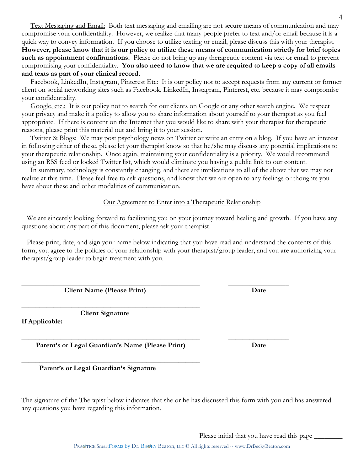Text Messaging and Email: Both text messaging and emailing are not secure means of communication and may compromise your confidentiality. However, we realize that many people prefer to text and/or email because it is a quick way to convey information. If you choose to utilize texting or email, please discuss this with your therapist. **However, please know that it is our policy to utilize these means of communication strictly for brief topics such as appointment confirmations.** Please do not bring up any therapeutic content via text or email to prevent compromising your confidentiality. **You also need to know that we are required to keep a copy of all emails and texts as part of your clinical record.** 

Facebook, LinkedIn, Instagram, Pinterest Etc: It is our policy not to accept requests from any current or former client on social networking sites such as Facebook, LinkedIn, Instagram, Pinterest, etc. because it may compromise your confidentiality.

Google, etc.: It is our policy not to search for our clients on Google or any other search engine. We respect your privacy and make it a policy to allow you to share information about yourself to your therapist as you feel appropriate. If there is content on the Internet that you would like to share with your therapist for therapeutic reasons, please print this material out and bring it to your session.

Twitter & Blogs: We may post psychology news on Twitter or write an entry on a blog. If you have an interest in following either of these, please let your therapist know so that he/she may discuss any potential implications to your therapeutic relationship. Once again, maintaining your confidentiality is a priority. We would recommend using an RSS feed or locked Twitter list, which would eliminate you having a public link to our content.

 In summary, technology is constantly changing, and there are implications to all of the above that we may not realize at this time. Please feel free to ask questions, and know that we are open to any feelings or thoughts you have about these and other modalities of communication.

## Our Agreement to Enter into a Therapeutic Relationship

 We are sincerely looking forward to facilitating you on your journey toward healing and growth. If you have any questions about any part of this document, please ask your therapist.

 Please print, date, and sign your name below indicating that you have read and understand the contents of this form, you agree to the policies of your relationship with your therapist/group leader, and you are authorizing your therapist/group leader to begin treatment with you.

\_\_\_\_\_\_\_\_\_\_\_\_\_\_\_\_\_\_\_\_\_\_\_\_\_\_\_\_\_\_\_\_\_\_\_\_\_\_\_\_\_\_\_\_\_\_\_\_\_\_ \_\_\_\_\_\_\_\_\_\_\_\_\_\_\_\_\_

\_\_\_\_\_\_\_\_\_\_\_\_\_\_\_\_\_\_\_\_\_\_\_\_\_\_\_\_\_\_\_\_\_\_\_\_\_\_\_\_\_\_\_\_\_\_\_\_\_\_ \_\_\_\_\_\_\_\_\_\_\_\_\_\_\_\_\_

**Client Name (Please Print)** Date

 **Client Signature** 

\_\_\_\_\_\_\_\_\_\_\_\_\_\_\_\_\_\_\_\_\_\_\_\_\_\_\_\_\_\_\_\_\_\_\_\_\_\_\_\_\_\_\_\_\_\_\_\_\_\_

**If Applicable:** 

Parent's or Legal Guardian's Name (Please Print) Date

\_\_\_\_\_\_\_\_\_\_\_\_\_\_\_\_\_\_\_\_\_\_\_\_\_\_\_\_\_\_\_\_\_\_\_\_\_\_\_\_\_\_\_\_\_\_\_\_\_\_

 **Parent's or Legal Guardian's Signature**

The signature of the Therapist below indicates that she or he has discussed this form with you and has answered any questions you have regarding this information.

Please initial that you have read this page

PRA TICE SmartFORMS by Dr. BETKY Beaton, LLC © All rights reserved ~ www.DrBeckyBeaton.com